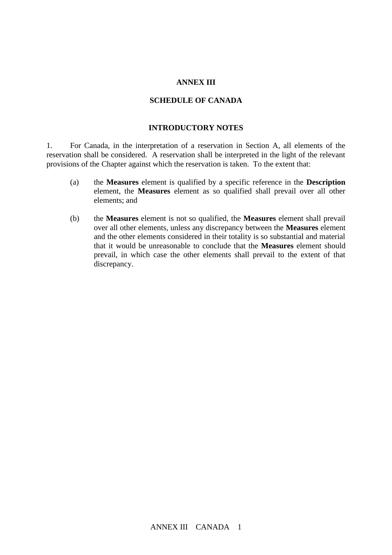#### **ANNEX III**

#### **SCHEDULE OF CANADA**

### **INTRODUCTORY NOTES**

1. For Canada, in the interpretation of a reservation in Section A, all elements of the reservation shall be considered. A reservation shall be interpreted in the light of the relevant provisions of the Chapter against which the reservation is taken. To the extent that:

- (a) the **Measures** element is qualified by a specific reference in the **Description** element, the **Measures** element as so qualified shall prevail over all other elements; and
- (b) the **Measures** element is not so qualified, the **Measures** element shall prevail over all other elements, unless any discrepancy between the **Measures** element and the other elements considered in their totality is so substantial and material that it would be unreasonable to conclude that the **Measures** element should prevail, in which case the other elements shall prevail to the extent of that discrepancy.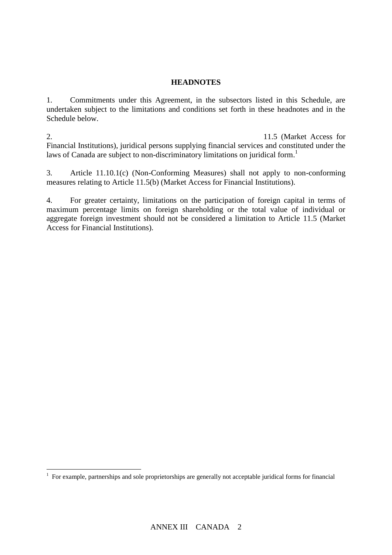## **HEADNOTES**

1. Commitments under this Agreement, in the subsectors listed in this Schedule, are undertaken subject to the limitations and conditions set forth in these headnotes and in the Schedule below.

2. To clarify Canada's commitment with respect to Article 11.5 (Market Access for Financial Institutions), juridical persons supplying financial services and constituted under the laws of Canada are subject to non-discriminatory limitations on juridical form.<sup>1</sup>

3. Article 11.10.1(c) (Non-Conforming Measures) shall not apply to non-conforming measures relating to Article 11.5(b) (Market Access for Financial Institutions).

4. For greater certainty, limitations on the participation of foreign capital in terms of maximum percentage limits on foreign shareholding or the total value of individual or aggregate foreign investment should not be considered a limitation to Article 11.5 (Market Access for Financial Institutions).

 1 For example, partnerships and sole proprietorships are generally not acceptable juridical forms for financial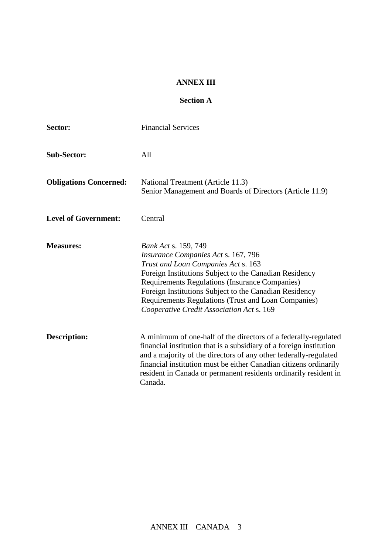#### **ANNEX III**

# **Section A**

| Sector:                       | <b>Financial Services</b>                                                                                                                                                                                                                                                                                                                                                           |
|-------------------------------|-------------------------------------------------------------------------------------------------------------------------------------------------------------------------------------------------------------------------------------------------------------------------------------------------------------------------------------------------------------------------------------|
| <b>Sub-Sector:</b>            | All                                                                                                                                                                                                                                                                                                                                                                                 |
| <b>Obligations Concerned:</b> | National Treatment (Article 11.3)<br>Senior Management and Boards of Directors (Article 11.9)                                                                                                                                                                                                                                                                                       |
| <b>Level of Government:</b>   | Central                                                                                                                                                                                                                                                                                                                                                                             |
| <b>Measures:</b>              | <b>Bank Act s. 159, 749</b><br>Insurance Companies Act s. 167, 796<br>Trust and Loan Companies Act s. 163<br>Foreign Institutions Subject to the Canadian Residency<br>Requirements Regulations (Insurance Companies)<br>Foreign Institutions Subject to the Canadian Residency<br>Requirements Regulations (Trust and Loan Companies)<br>Cooperative Credit Association Act s. 169 |
| <b>Description:</b>           | A minimum of one-half of the directors of a federally-regulated<br>financial institution that is a subsidiary of a foreign institution<br>and a majority of the directors of any other federally-regulated<br>financial institution must be either Canadian citizens ordinarily<br>resident in Canada or permanent residents ordinarily resident in<br>Canada.                      |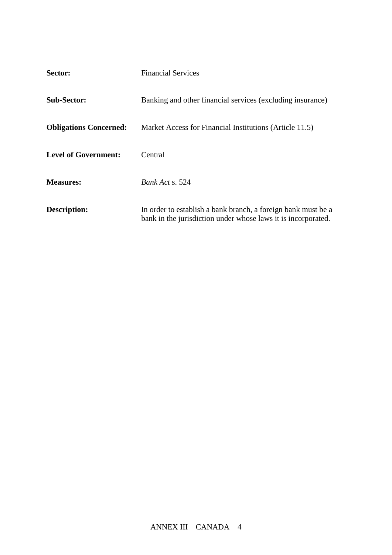| Sector:                       | <b>Financial Services</b>                                                                                                      |
|-------------------------------|--------------------------------------------------------------------------------------------------------------------------------|
| <b>Sub-Sector:</b>            | Banking and other financial services (excluding insurance)                                                                     |
| <b>Obligations Concerned:</b> | Market Access for Financial Institutions (Article 11.5)                                                                        |
| <b>Level of Government:</b>   | Central                                                                                                                        |
| <b>Measures:</b>              | <i>Bank Act s.</i> 524                                                                                                         |
| <b>Description:</b>           | In order to establish a bank branch, a foreign bank must be a<br>bank in the jurisdiction under whose laws it is incorporated. |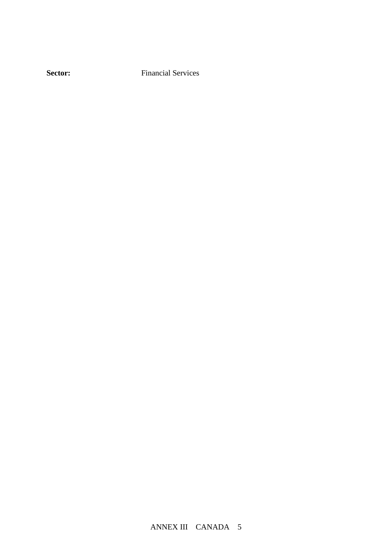**Sector:** Financial Services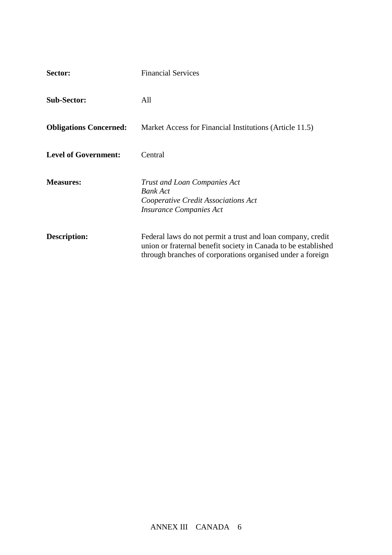| Sector:                       | <b>Financial Services</b>                                                                                                                                                                   |
|-------------------------------|---------------------------------------------------------------------------------------------------------------------------------------------------------------------------------------------|
| <b>Sub-Sector:</b>            | All                                                                                                                                                                                         |
| <b>Obligations Concerned:</b> | Market Access for Financial Institutions (Article 11.5)                                                                                                                                     |
| <b>Level of Government:</b>   | Central                                                                                                                                                                                     |
| <b>Measures:</b>              | <b>Trust and Loan Companies Act</b><br><b>Bank Act</b><br>Cooperative Credit Associations Act<br><i><b>Insurance Companies Act</b></i>                                                      |
| <b>Description:</b>           | Federal laws do not permit a trust and loan company, credit<br>union or fraternal benefit society in Canada to be established<br>through branches of corporations organised under a foreign |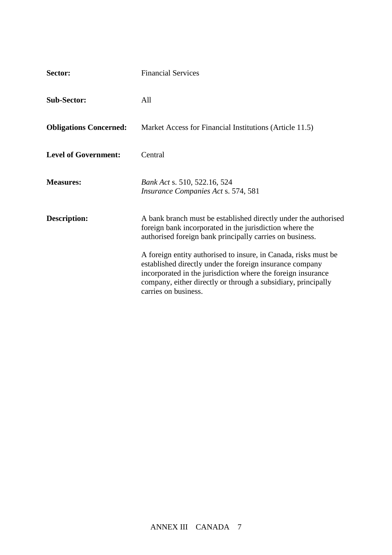| Sector:                       | <b>Financial Services</b>                                                                                                                                                                                                                                                            |
|-------------------------------|--------------------------------------------------------------------------------------------------------------------------------------------------------------------------------------------------------------------------------------------------------------------------------------|
| <b>Sub-Sector:</b>            | All                                                                                                                                                                                                                                                                                  |
| <b>Obligations Concerned:</b> | Market Access for Financial Institutions (Article 11.5)                                                                                                                                                                                                                              |
| <b>Level of Government:</b>   | Central                                                                                                                                                                                                                                                                              |
| <b>Measures:</b>              | Bank Act s. 510, 522.16, 524<br><i>Insurance Companies Act s.</i> 574, 581                                                                                                                                                                                                           |
| <b>Description:</b>           | A bank branch must be established directly under the authorised<br>foreign bank incorporated in the jurisdiction where the<br>authorised foreign bank principally carries on business.                                                                                               |
|                               | A foreign entity authorised to insure, in Canada, risks must be<br>established directly under the foreign insurance company<br>incorporated in the jurisdiction where the foreign insurance<br>company, either directly or through a subsidiary, principally<br>carries on business. |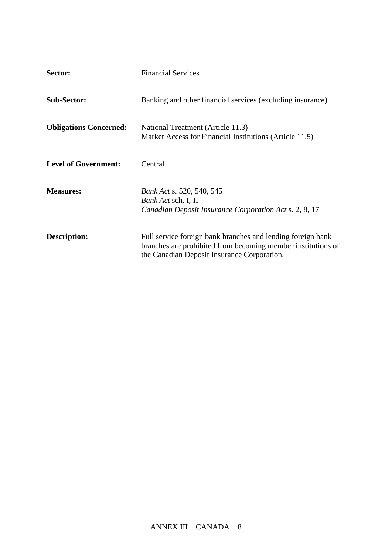| Sector:                       | <b>Financial Services</b>                                                                                                                                                  |
|-------------------------------|----------------------------------------------------------------------------------------------------------------------------------------------------------------------------|
| <b>Sub-Sector:</b>            | Banking and other financial services (excluding insurance)                                                                                                                 |
| <b>Obligations Concerned:</b> | National Treatment (Article 11.3)<br>Market Access for Financial Institutions (Article 11.5)                                                                               |
| <b>Level of Government:</b>   | Central                                                                                                                                                                    |
| <b>Measures:</b>              | <i>Bank Act s.</i> 520, 540, 545<br><i>Bank Act sch. I, II</i><br>Canadian Deposit Insurance Corporation Act s. 2, 8, 17                                                   |
| <b>Description:</b>           | Full service foreign bank branches and lending foreign bank<br>branches are prohibited from becoming member institutions of<br>the Canadian Deposit Insurance Corporation. |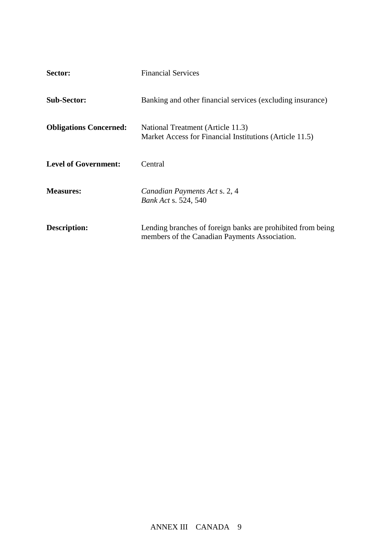| Sector:                       | <b>Financial Services</b>                                                                                    |
|-------------------------------|--------------------------------------------------------------------------------------------------------------|
| <b>Sub-Sector:</b>            | Banking and other financial services (excluding insurance)                                                   |
| <b>Obligations Concerned:</b> | National Treatment (Article 11.3)<br>Market Access for Financial Institutions (Article 11.5)                 |
| <b>Level of Government:</b>   | Central                                                                                                      |
| <b>Measures:</b>              | Canadian Payments Act s. 2, 4<br><i>Bank Act s.</i> 524, 540                                                 |
| Description:                  | Lending branches of foreign banks are prohibited from being<br>members of the Canadian Payments Association. |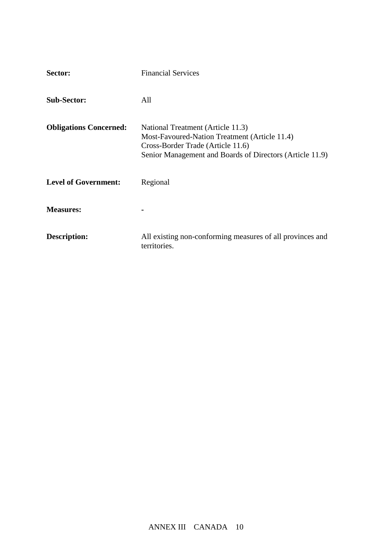| Sector:                       | <b>Financial Services</b>                                                                                                                                                           |
|-------------------------------|-------------------------------------------------------------------------------------------------------------------------------------------------------------------------------------|
| <b>Sub-Sector:</b>            | All                                                                                                                                                                                 |
| <b>Obligations Concerned:</b> | National Treatment (Article 11.3)<br>Most-Favoured-Nation Treatment (Article 11.4)<br>Cross-Border Trade (Article 11.6)<br>Senior Management and Boards of Directors (Article 11.9) |
| <b>Level of Government:</b>   | Regional                                                                                                                                                                            |
| <b>Measures:</b>              |                                                                                                                                                                                     |
| <b>Description:</b>           | All existing non-conforming measures of all provinces and<br>territories.                                                                                                           |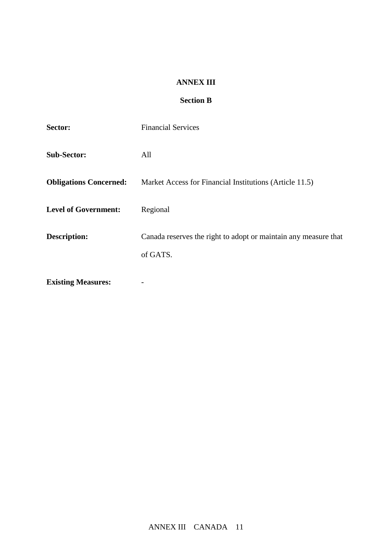### **ANNEX III**

# **Section B**

| Sector:                       | <b>Financial Services</b>                                                   |
|-------------------------------|-----------------------------------------------------------------------------|
| <b>Sub-Sector:</b>            | All                                                                         |
| <b>Obligations Concerned:</b> | Market Access for Financial Institutions (Article 11.5)                     |
| <b>Level of Government:</b>   | Regional                                                                    |
| Description:                  | Canada reserves the right to adopt or maintain any measure that<br>of GATS. |
| <b>Existing Measures:</b>     |                                                                             |